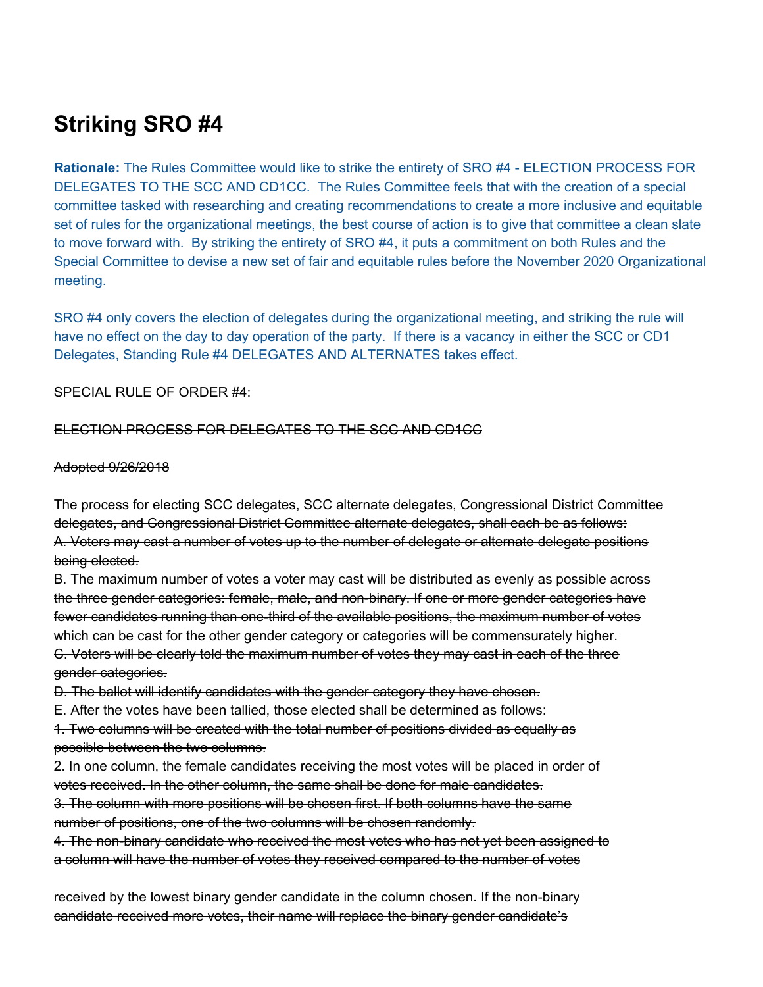# **Striking SRO #4**

**Rationale:** The Rules Committee would like to strike the entirety of SRO #4 - ELECTION PROCESS FOR DELEGATES TO THE SCC AND CD1CC. The Rules Committee feels that with the creation of a special committee tasked with researching and creating recommendations to create a more inclusive and equitable set of rules for the organizational meetings, the best course of action is to give that committee a clean slate to move forward with. By striking the entirety of SRO #4, it puts a commitment on both Rules and the Special Committee to devise a new set of fair and equitable rules before the November 2020 Organizational meeting.

SRO #4 only covers the election of delegates during the organizational meeting, and striking the rule will have no effect on the day to day operation of the party. If there is a vacancy in either the SCC or CD1 Delegates, Standing Rule #4 DELEGATES AND ALTERNATES takes effect.

### SPECIAL RULE OF ORDER #4:

### ELECTION PROCESS FOR DELEGATES TO THE SCC AND CD1CC

#### Adopted 9/26/2018

The process for electing SCC delegates, SCC alternate delegates, Congressional District Committee delegates, and Congressional District Committee alternate delegates, shall each be as follows: A. Voters may cast a number of votes up to the number of delegate or alternate delegate positions being elected.

B. The maximum number of votes a voter may cast will be distributed as evenly as possible across the three gender categories: female, male, and non-binary. If one or more gender categories have fewer candidates running than one-third of the available positions, the maximum number of votes which can be cast for the other gender category or categories will be commensurately higher. C. Voters will be clearly told the maximum number of votes they may cast in each of the three gender categories.

D. The ballot will identify candidates with the gender category they have chosen.

E. After the votes have been tallied, those elected shall be determined as follows:

1. Two columns will be created with the total number of positions divided as equally as possible between the two columns.

2. In one column, the female candidates receiving the most votes will be placed in order of votes received. In the other column, the same shall be done for male candidates.

3. The column with more positions will be chosen first. If both columns have the same number of positions, one of the two columns will be chosen randomly.

4. The non-binary candidate who received the most votes who has not yet been assigned to a column will have the number of votes they received compared to the number of votes

received by the lowest binary gender candidate in the column chosen. If the non-binary candidate received more votes, their name will replace the binary gender candidate's